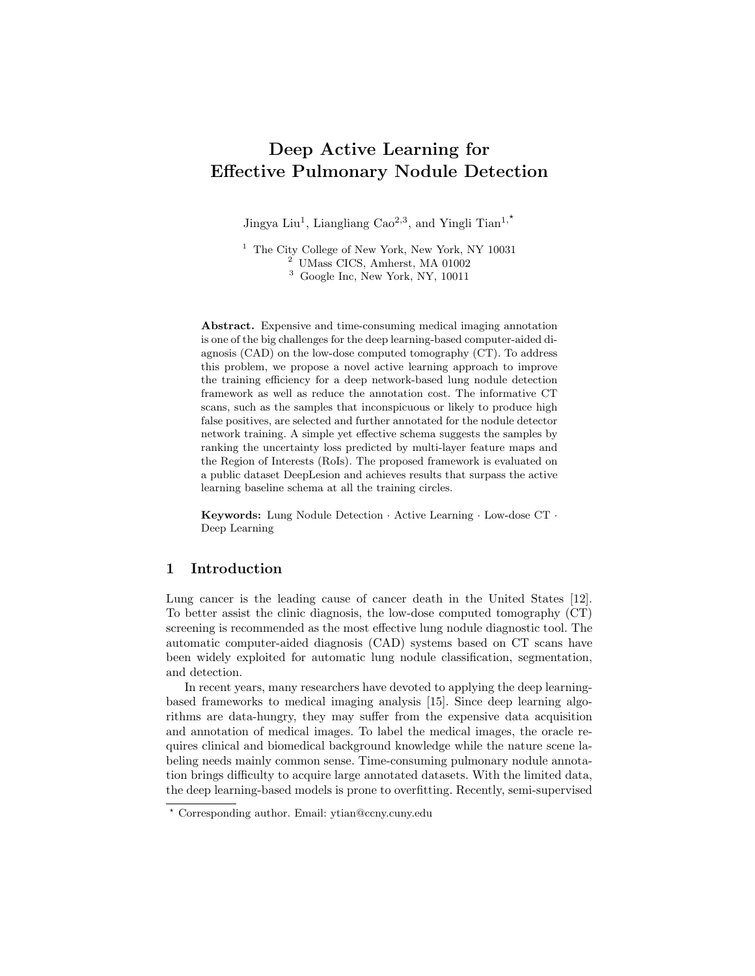# Deep Active Learning for Effective Pulmonary Nodule Detection

Jingya Liu<sup>1</sup>, Liangliang Cao<sup>2,3</sup>, and Yingli Tian<sup>1,\*</sup>

<sup>1</sup> The City College of New York, New York, NY 10031 <sup>2</sup> UMass CICS, Amherst, MA 01002

 $3$  Google Inc, New York, NY, 10011

Abstract. Expensive and time-consuming medical imaging annotation is one of the big challenges for the deep learning-based computer-aided diagnosis (CAD) on the low-dose computed tomography (CT). To address this problem, we propose a novel active learning approach to improve the training efficiency for a deep network-based lung nodule detection framework as well as reduce the annotation cost. The informative CT scans, such as the samples that inconspicuous or likely to produce high false positives, are selected and further annotated for the nodule detector network training. A simple yet effective schema suggests the samples by ranking the uncertainty loss predicted by multi-layer feature maps and the Region of Interests (RoIs). The proposed framework is evaluated on a public dataset DeepLesion and achieves results that surpass the active learning baseline schema at all the training circles.

Keywords: Lung Nodule Detection · Active Learning · Low-dose CT · Deep Learning

## 1 Introduction

Lung cancer is the leading cause of cancer death in the United States [12]. To better assist the clinic diagnosis, the low-dose computed tomography (CT) screening is recommended as the most effective lung nodule diagnostic tool. The automatic computer-aided diagnosis (CAD) systems based on CT scans have been widely exploited for automatic lung nodule classification, segmentation, and detection.

In recent years, many researchers have devoted to applying the deep learningbased frameworks to medical imaging analysis [15]. Since deep learning algorithms are data-hungry, they may suffer from the expensive data acquisition and annotation of medical images. To label the medical images, the oracle requires clinical and biomedical background knowledge while the nature scene labeling needs mainly common sense. Time-consuming pulmonary nodule annotation brings difficulty to acquire large annotated datasets. With the limited data, the deep learning-based models is prone to overfitting. Recently, semi-supervised

<sup>?</sup> Corresponding author. Email: ytian@ccny.cuny.edu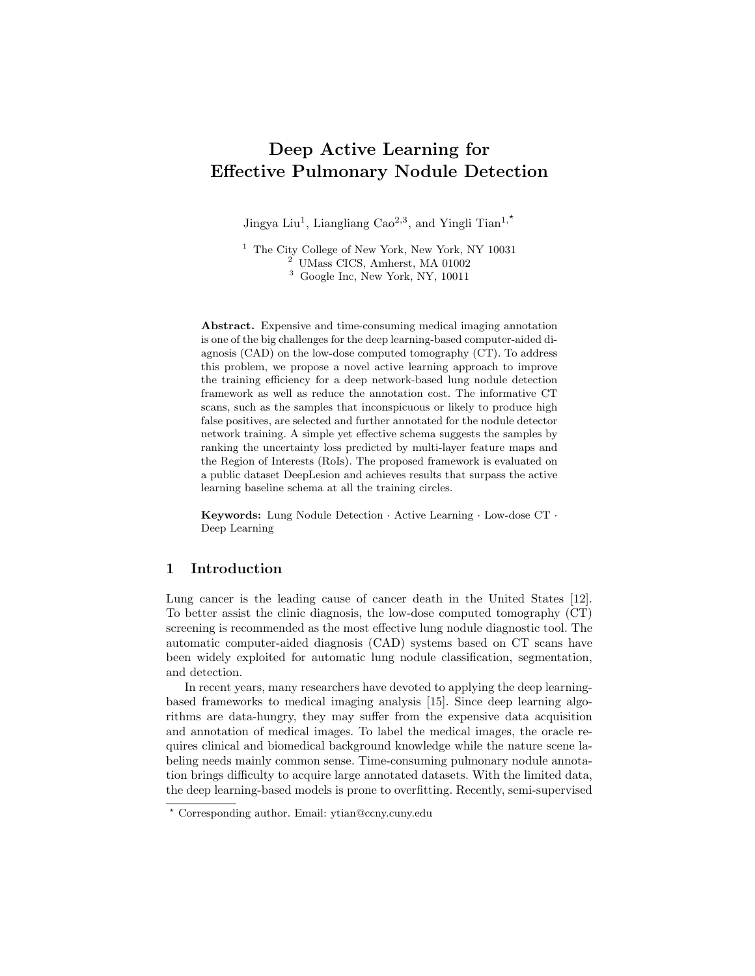

Fig. 1. The flowchart of the proposed active learning nodule detection framework. A group of randomly sampled data is selected to train the nodule detection network. In each of the training cycle, the trained network evaluates the remaining unlabeled CT scans in the unlabeled CT pool by predicting the uncertainty for each CT scan. Based on the uncertainty scores, the top-k informative CT scans are selected in the current training circle considered as the most informative samples for labeling. The newly annotated CTs are further joined the labeled CTs for the detector training. The steps are iterated until the network achieves good performance.

and unsupervised learning-based methods utilize partial or unlabeled data to avoid the annotation cost [5, 6]. These methods mainly focus on extracting good features, however, the data annotations are still required for the downstream tasks, such as classification, segmentation, and detection.

Existing approaches consider active learning methods to reduce data annotation cost by selecting valuable representatives from unlabeled data [2, 4, 9, 10, 13]. For medical imaging, the active learning strategy has shown high potential to reduce the annotation cost  $[1]$ , such as in biomedical image segmentation  $[3]$ , 14, 18] and pathology image classification [11, 13]. Most of the active learning methods for object detection tasks are based on the uncertainty scores predicted by image-level representation extracted from backbone network to select informative samples. Recently, Yoo et al. [19] proposed a state-of-the-art learning-loss schema to predict the loss value of unlabeled data based on the target network, which can be applied to the object detection task. Multi-level features from the target model are fused to map the scalar value for loss prediction. Since the loss prediction network only considers the model loss and despite the task, the loss prediction strategy is robust to various tasks and has high potential to apply to nodule detection tasks. However, the performance of object detection task is not guaranteed with small objects or 3D volumetric data. The image-level distribution is not sufficient and not detailed for pulmonary nodule detection.

There are two major challenges in implementing the existing active learning methods for pulmonary nodule detection. First, unlike natural scene images, CT scans contain relatively small volume of lung nodules relative to the whole 3D CT. Second, the feature similarity between normal tissues and nodules may mislead the sample selection. The image-level uncertainty prediction cannot be directly applied to the 3D features. Although the uncertainty of the whole CT scan can be learned, the informative features that distinguish nodules and tissues are tended to be ignored.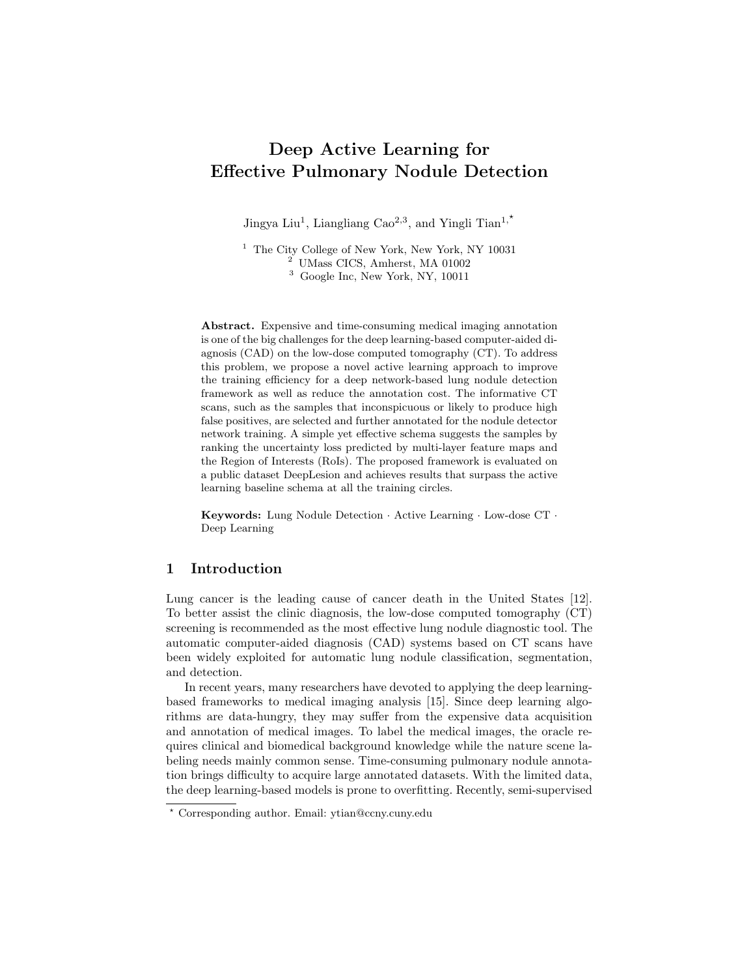To address the above challenges, this paper makes the following contributions: 1) A deep active learning-based nodule detection framework is proposed to achieve comparable performance with less data and annotations, as shown in Fig. 1. The unlabeled CT scans are assessed by a trained model with predicted uncertainties. By sorting the uncertainty scores of CTs, the top-K informative candidates are selected, further annotated as the training data. 2) A simple yet effective uncertainty selection method predicts the loss through the features extracted from the basic blocks of the backbone network which evaluates the learning-loss uncertainty, and the features from region proposals for an RoIlevel prediction. 3) The proposed framework is conducted on the large public DeepLesion dataset [17] and the proposed method surpasses the active learning baseline [19] at all the training cycles.



Fig. 2. The proposed active learning schema for pulmonary nodule detection. A trained 3DFPN detector takes the input of 3D CT volume and obtains the learning-loss features maps through multiple layers  $[P2, P3, P4, P5]$ . The learning-loss uncertainty is computed by aggregating the loss of four-layer feature maps and a global loss predicted by concatenated four-layer features. The RoI-level uncertainty prediction considers the local features of the region proposals prediction and is obtained by summing predicted scores greater than the threshold  $\tau$ . The uncertainty of sample selection combines learning-loss loss with RoI-level loss for each unlabeled CT scan.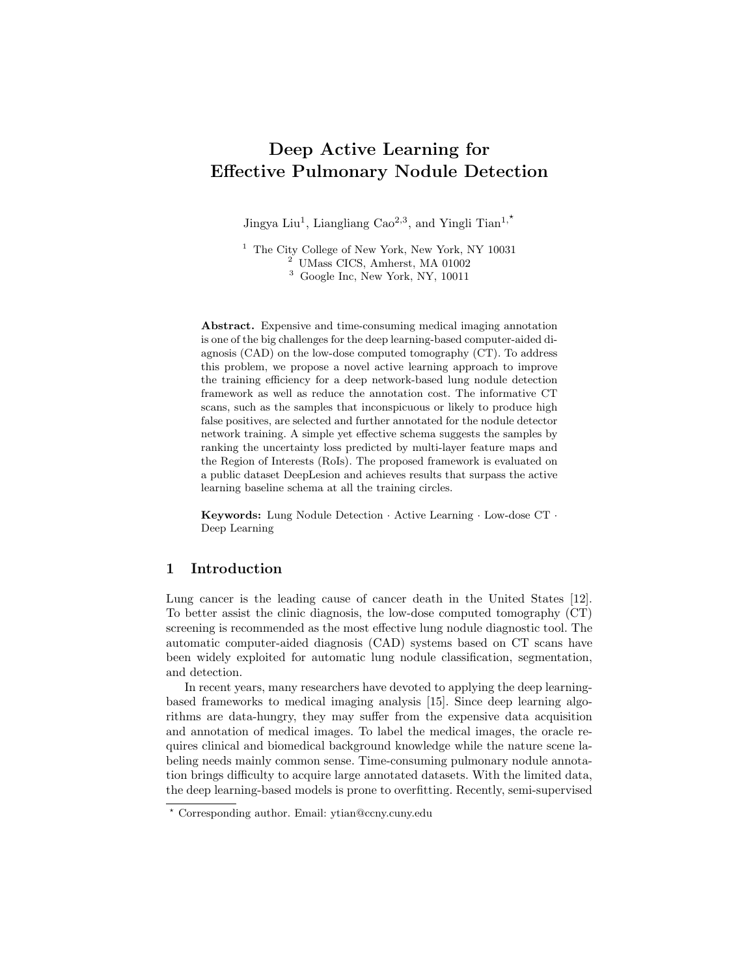#### 4 J. Liu et al.

## 2 Method

The informative CT scans with higher uncertainty values are defined as hard samples, while the non-informative CT scans with lower scores are defined as easy samples. The key insight of our method is to learn from the hard samples of CT scans for pulmonary nodule detection. More specifically, we consider the following two scenarios. 1) The CT scans contain normal tissues with similar features of nodules. The high probability to be detected as nodules leads to a high false-positive rate. 2) The CT scans include the nodules that are difficult to detect, with a small size or low intensity. In this section, we introduce a simple yet effective active learning scheme for pulmonary nodule detection network.

#### 2.1 Nodule Detection Framework

By appending the low-level texture features with higher-level strong-semantic features, the feature pyramid networks (FPNs) [7] achieved good performance on detecting small objects by combining both local and global features through the multi-layered feature extraction. Since the original FPN is designed to process 2D images, considering the spatial information of nodules in consecutive CT slices, we follow the nodule detection network of 3DFPN [8] by applying 3D ResNet-18 as the backbone network and detecting nodule locations in 3D CT volumes. The feature pyramid network consists of four layers of  $[P2, P3, P4, P5]$ , which integrates low-level features through a top-down pathway by lateral connections. The feature maps are further applied to evaluate the uncertainty. Currently, twostage object detection methods such as RCNN, are widely used in small object detection combined with the FPN backbone framework. Yan et al. [16] proposed a 3D Context Enhanced (3DCE) RCNN model for lesion detection, however, the spatial information is not guaranteed by the three-channel images. In this paper, we employ the 3D volume CT scan as input to extract multi-layer features from 3D Feature Pyramid ConvNet  $(3DFPN)$  with the region of interest  $(RoI)$ proposal selection. The prediction includes a confidence score of each nodule candidate, as well as the corresponding position and nodule size, as  $[x, y, z, d]$ , where  $[x, y]$  are the spatial coordinates of the candidate, z is the CT slice index number, d is the diameter of the nodule.

#### 2.2 Active Learning with Nodule Detection

This section introduces the proposed active learning framework for lung nodule detection. During the initial network training, a group of CT scans is randomly selected from all unlabeled CT pool for annotation and defined as  $S_{train}$ . In the first learning cycle, a deep learning framework is trained by  $S_{train}$  and predicts uncertainties  $l$  for each unlabeled CT in the unlabeled pool  $S_{unlabel}$ . As the CT scans are not equally contributed to the performance of the model, the higher predicted uncertainty loss indicates the greater difficulty for the nodule prediction, with the high false-negative rate for the missing nodules or high falsepositive prediction for tissues detected as nodules. We define informative CT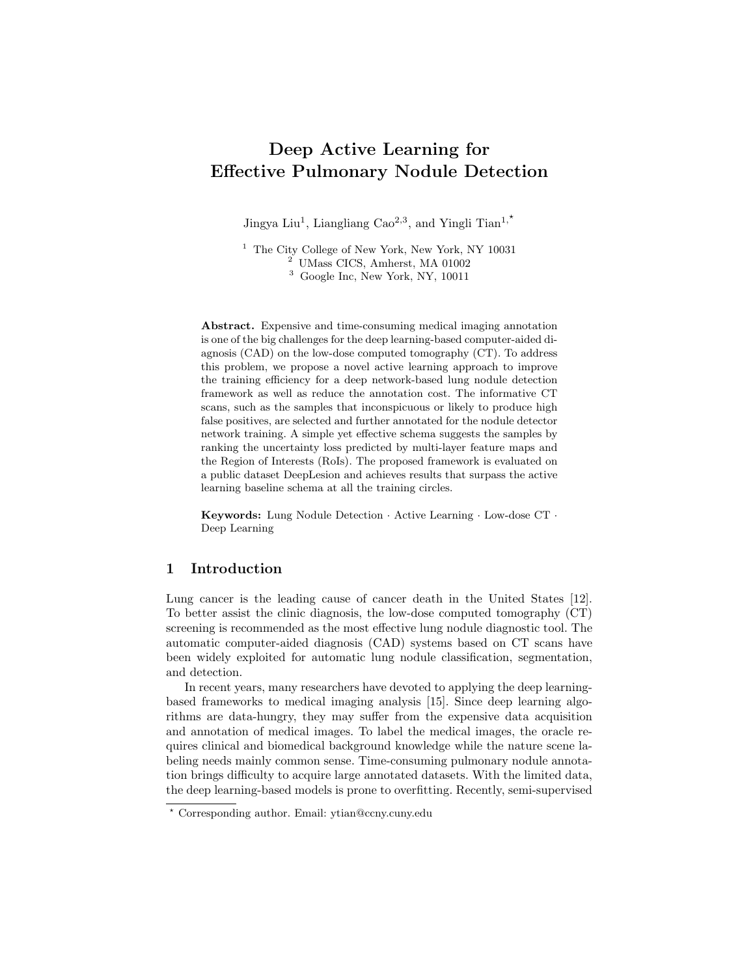scans with high uncertainty value as hard samples and non-informative CT scans with lower scores as easy samples. The hard samples aim to efficiently improve the performance of the nodule detection network. By sorting the predicted loss of  $l$  in descending order, top-k CT scans are selected as the hard samples, which would be annotated by radiologists and aggregated to the training data  $S_{label}$ . The data augmentation methods of the random flip, crop, and rotate are applied to the labeled  $k$  CT scans to avoid overfitting. The augmented data are joined as the input to train the lung nodule detector. The trained model is applied to predict the loss for unlabeled data to select another set of top-k CT scans for annotation. Repeat the active learning schema until the nodule detector achieves good performance.

As illustrated in Fig. 2, an active learning-based sample selection approach is proposed to predict loss through global features and RoIs. 3DFPN is applied as the backbone network by the multi-layer feature maps extracting by a topdown path. The feature maps of  $\{P2, P3, P4, P5\}$  extracted from the last four convolution layers represent the global features, which are normalized by 3D global average pooling and a fully connected (FC) layer. Following the learningloss schema [19], a scan-level prediction consists of multi-layer uncertainty losses of the four feature scalars and a loss predicted by the concatenated four feature maps. The objective function for the learning-loss uncertainty is obtained by the five uncertainty scores, shown as Eq. 1:

$$
l_{scan} = l_{P2} + l_{P3} + l_{P4} + l_{P5} + l_{P_{concat}},
$$
\n(1)

where  $i$  indicates the current feature layers,  $P_{concat}$  concatenates the feature maps of  $\{P2, P3, P4, P5\}.$ 

To obtain the detailed local features for CT scans contained nodules with the small scale and tissues with the similar feature as nodules, the learningloss schema is not sufficient to select the most valuable CT scans by predicting the loss through the feature maps, where the informative features of the true negative and false positives candidates are not statistically significant shown. As the region proposal network predicts nodule candidate location and the region of interest (RoI) cropped from the multi-layer feature maps, in particular, we introduce a simple yet effective sample selection method based on uncertainty prediction by statistically selecting by RoI level uncertainty prediction, as shown in Fig. 2. We aim to select CT scans with a large number of high uncertainty RoI regions as additional criteria for CT scan sample selection.

In order to select the CT scans with the most false-positive samples, a set of uncertainty scores is predicted for each RoI region of the entire 3D CT scan. For each CT scan  $s_i$ , a set of RoI regions  $r_{s_i}$  is obtained. RoI-level loss prediction  $L_{RoI}$  sums the scores of the region proposal  $l_i$  for the value greater than the threshold  $\tau$ , shown as Eq. 2:

$$
L_{RoI} = \begin{cases} \sum_{i=1}^{i} l_i & if \quad l_i > \tau \\ 0 & otherwise. \end{cases}
$$
 (2)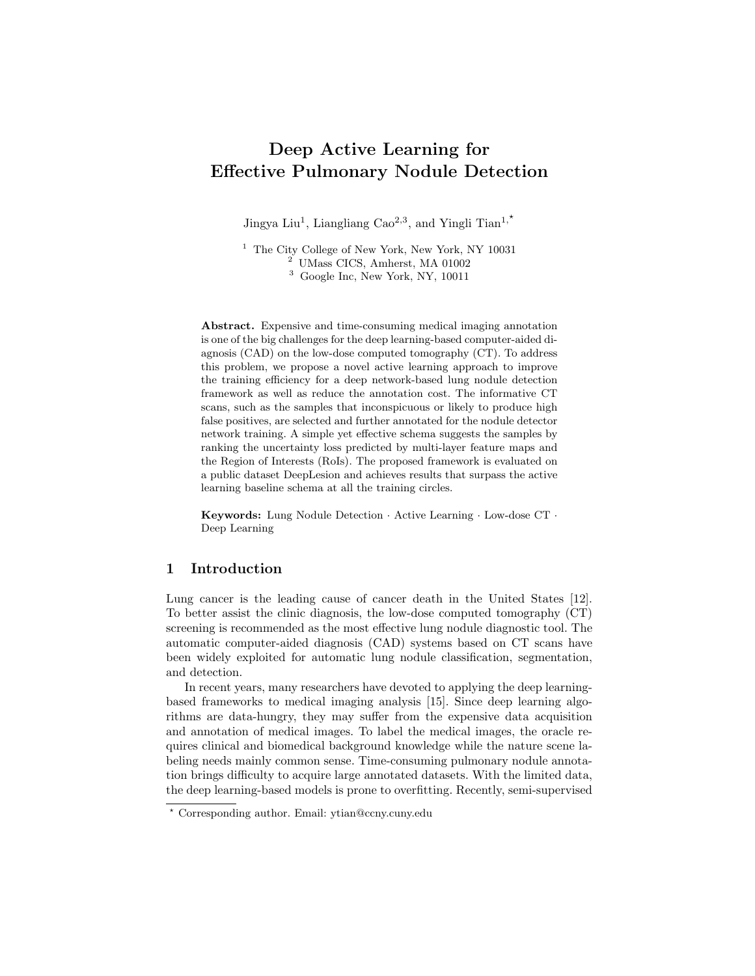6 J. Liu et al.

Therefore, the objective function is combined with learning-loss, RoI-level loss, and detector loss as Eq. 3:

$$
l_{final} = l_{target}(\hat{y}, y) + \lambda_1 \cdot L_{scan}\{\hat{l}, l\} + \lambda_2 \cdot L_{RoI}\{\hat{l}, l\},\tag{3}
$$

where  $\lambda_1, \lambda_2$  are the weights of learning-loss and RoI-level prediction respectively.  $(\hat{l}, l)$  are the two samples selected from different batches followed the batch strategy of [19] by comparing two samples from different batches.

## 3 Experiments

#### 3.1 Experimental Settings

Dataset and Evaluation The NIH DeepLesion dataset [17] contains 32, 000 annotated lesions on the CT scans acquired from 4, 400 patients. In this paper, 1, 281 CT scans with 2, 592 lung nodules are conducted in the evaluation. The 1, 000 CT scans are for training and 281 CT scans from the official split are for testing. To assess the proposed framework, we assume all the CT scans are unlabeled and in each active learning cycle, 10% of the unlabeled dataset are selected and annotated. We follow the evaluation method of the baseline detector 3DCE [16] and employ the sensitivity at certain false positives per image similar to the Free-Response Receiver Operating Characteristic (FROC). In this paper, we present the results for sensitivity at 4 false positives per image for a fair comparison with the baseline detector 3DCE [16] for the performance of lung nodule detection.

Training In the first active learning circle, the detector is trained by a random selected 10% CT scans from the unlabeled data pool with annotations (100 CT scans). The trained model is applied to predict the loss of the remaining 90% unlabeled data. By sorting the loss prediction, the top 100 CTs, which is 10% of the initial unlabeled CT pool, are annotated and added to the training data to finetune the trained model. A total of 30 epochs are applied for each training cycle. The learning rate is initialized as  $0.01$  and decreased by  $1/10$ at the 280 epoch. 300 epochs are conducted for the framework. The 18-layer residual network (ResNet-18) is applied as the backbone network of the 3DFPN detector. Following the same implementation of Yoo et. al [19], loss prediction module of learning-loss schema is conducted for scoring the four feature maps of the backbone network. The RoIs with the prediction score greater than 0.5 are applied to obtain the RoI-level loss. To avoid overfitting in the training process, the random flip, rotation and crop are also applied for the data augmentation.

#### 3.2 Results

Performance Evaluation Table 1 shows the results compared to the baseline detector. By using 80% of all the training data, the sensitivity at 4 false positives per image of our proposed framework is comparable to the baseline 3DCE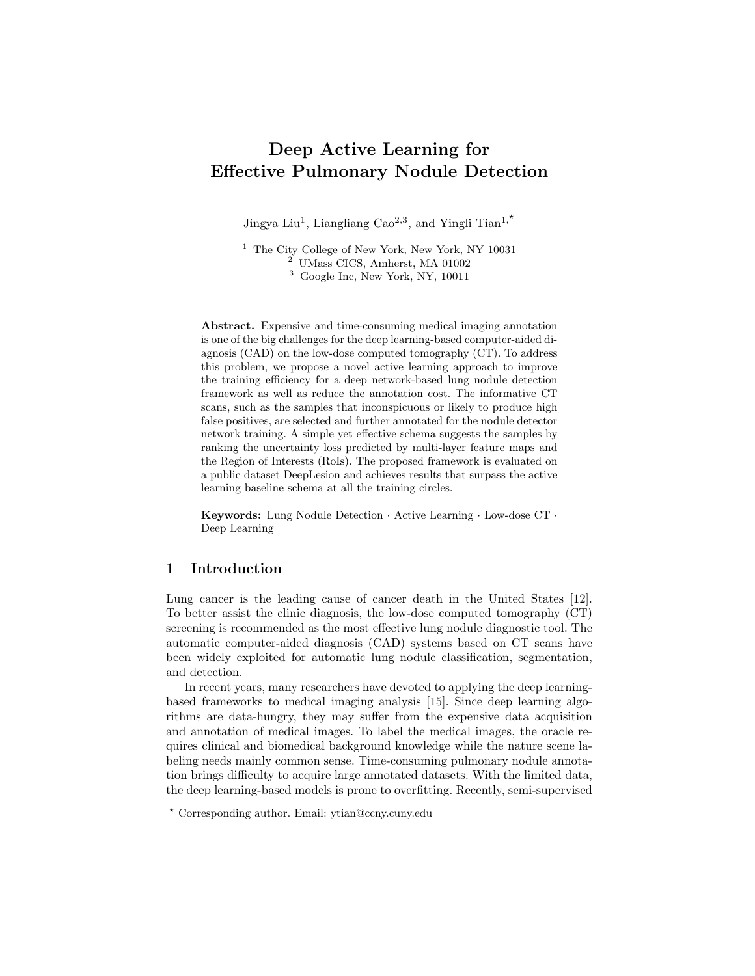Table 1. Comparison between 3DCE [16] and our proposed active learning-based nodule detection network. With the 80% annotated training data, the proposed method achieves a comparable result with the baseline 3DCE network.

|                                      |       |       |       |       | Methods $ 3DCE 16  0urs-60\% 0urs-70\% 0urs-80\% 0urs-90\% 0urs-100\%$ |
|--------------------------------------|-------|-------|-------|-------|------------------------------------------------------------------------|
| $\left $ Sensitivity $\right $ 0.910 | 0.875 | 0.896 | 0.908 | 0.915 | 0.921                                                                  |



Fig. 3. The sensitivities at 4 false positives per image for the proposed active learningbased framework compared with random sampling and learning-loss sample selection.

model with the full training data. By only trained with 60% annotated data, the result of our model is approaching to the sensitivity of 3DCE trained by the full training data with only 3.5% less. With all the training data annotated, our model surpasses the baseline detector by 1.1% sensitivity.

In addition, we compare the sensitivity of the proposed active learning method with random sampling and learning-loss sampling schema [19]. The sensitivities of our proposed method and the baseline active learning methods at 4 false positives per image are shown in Figure 3. Our active learning strategy surpasses learning-loss prediction [19] and random sampling at all active learning cycles. The learning-loss features may fail to capture the features of the nodule location, while the RoI feature region prediction may lose the global information. As shown in Fig. 3, by training with 60% annotated data, the proposed method obtains an 87.5% sensitivity at 4 false positives per image which is 6% higher than the random sampling baseline, and 4% higher than the learning-loss sample selection strategy. The performance of the nodule detector is greatly improved by combining the learning-loss and RoI-level prediction shown the effectiveness of the proposed active learning sample selection strategy.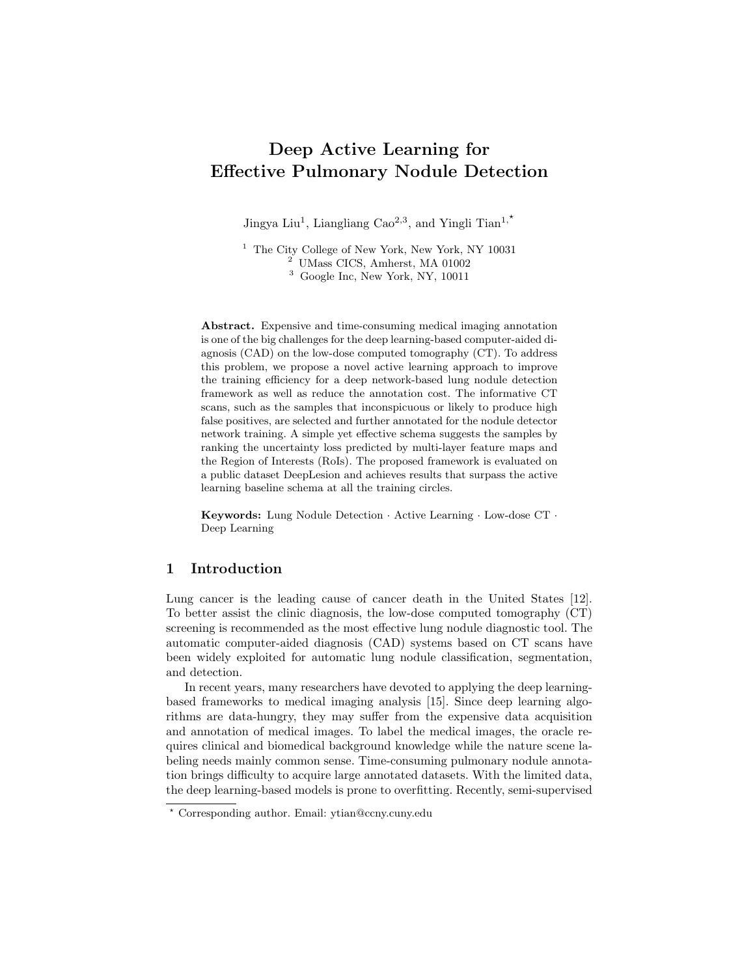



Fig. 4. Visualization of the selected nodule samples on 20%,40%,60%,80% active learning circle respectively. The x-axis of the scatter map indicates the nodule diameter and y-axis correspond to the uncertainty loss prediction. We compare the samples for the random sampling (marked as blue dots), and learning-loss sampling (marked with black dots) with the proposed active learning schema (marked as cyan dots).

Selected Sample Analysis The samples selected by the proposed method, learning-loss prediction, and random sampling within 20%, 40%, 60%, 80% active learning cycles are compared in Fig 4. X-axes and Y-axes indicate the nodule diameter and the predicted loss value for the corresponding CT scan. As the RoI regions selected by the proposed detector are the potential candidate regions, by selecting the candidates containing RoI regions with higher loss in the object function, the algorithm aims at finding the candidates with the highest potential to be predicted as miss-detected candidates (negative candidates) and the false detected candidates (positive candidates). For the samples selected from the 20% training cycle, we can observe that most of the predicted losses from the proposed active learning strategy (marked as cyan dots) are higher than other methods especially random sampling (marked as blue). With the learning circle increasing from 40% to 60%, the proposed method leans to focus on the nodules with the small size, while the random sampling still selects the large nodule with low loss values. The learning-loss (marked as black) predicts higher and clusters are more sparse. When the training cycle increases to 80%, it is worth noting that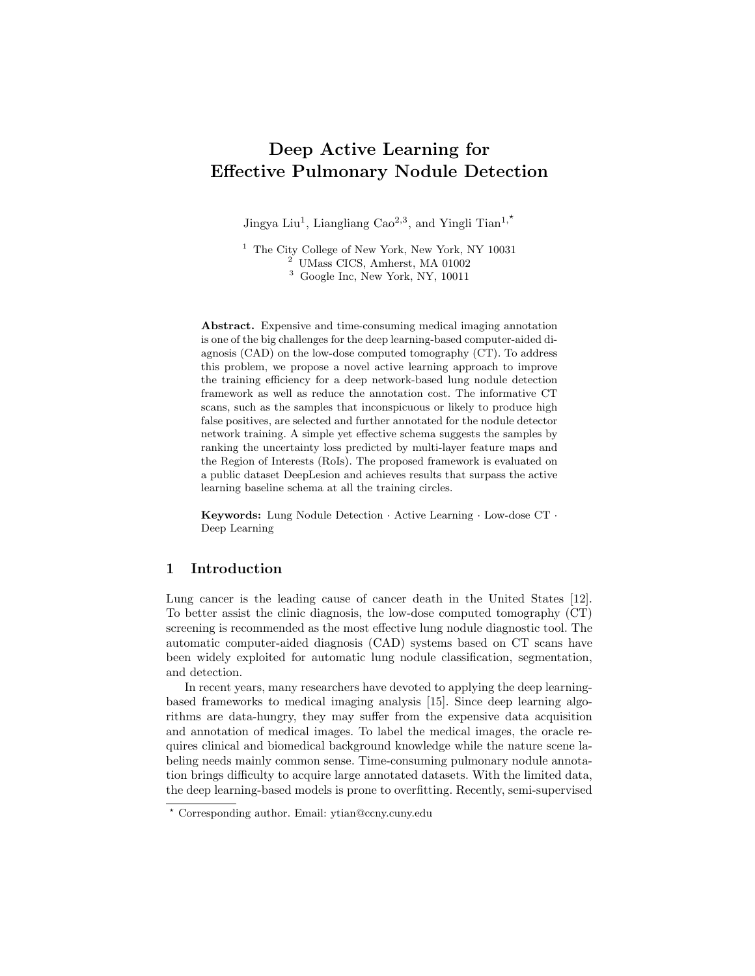the predicted loss values of the active learning-based sample selection strategies gradually decreases due to the priority to select informative samples, while the remaining 20% of the unlabeled data contains majority easy samples.

### 4 Conclusion

To eliminate expensive annotation costs and effort to acquire large datasets, we have proposed an active learning schema to select the valuable CT scans to train a deep learning-based pulmonary nodule detector. A simple yet effective active learning schema predicts loss from multi-layer features and RoIs for sample selection. The experimental results have demonstrated that the proposed framework has great potential in accelerating clinic diagnosis.

## Acknowledgement

This material is based upon work supported by the National Science Foundation under award number IIS-1400802.

## References

- 1. Budd, S., Robinson, E.C., Kainz, B.: A survey on active learning and human-inthe-loop deep learning for medical image analysis. arXiv preprint arXiv:1910.02923 (2019)
- 2. Budd, S., Sinclair, M., Khanal, B., Matthew, J., Lloyd, D., Gomez, A., Toussaint, N., Robinson, E.C., Kainz, B.: Confident head circumference measurement from ultrasound with real-time feedback for sonographers. In: International Conference on Medical Image Computing and Computer-Assisted Intervention. pp. 683–691. Springer (2019)
- 3. Chen, X., Williams, B.M., Vallabhaneni, S.R., Czanner, G., Williams, R., Zheng, Y.: Learning active contour models for medical image segmentation. In: Proceedings of the IEEE Conference on Computer Vision and Pattern Recognition. pp. 11632–11640 (2019)
- 4. Gal, Y., Islam, R., Ghahramani, Z.: Deep bayesian active learning with image data. In: Proceedings of the 34th International Conference on Machine Learning-Volume 70. pp. 1183–1192. JMLR. org (2017)
- 5. Jing, L., Tian, Y.: Self-supervised visual feature learning with deep neural networks: A survey. arXiv preprint arXiv:1902.06162 (2019)
- 6. Károly, A.I., Fullér, R., Galambos, P.: Unsupervised clustering for deep learning: A tutorial survey. Acta Polytechnica Hungarica 15(8), 29–53 (2018)
- 7. Lin, T.Y., Dollár, P., Girshick, R., He, K., Hariharan, B., Belongie, S.: Feature pyramid networks for object detection. In: Proceedings of the IEEE Conference on Computer Vision and Pattern Recognition. pp. 2117–2125 (2017)
- 8. Liu, J., Cao, L., Akin, O., Tian, Y.: 3DFPN-HS<sup>2</sup>: 3D Feature Pyramid Network Based High Sensitivity and Specificity Pulmonary Nodule Detection. In: International Conference on Medical Image Computing and Computer-Assisted Intervention (2019)